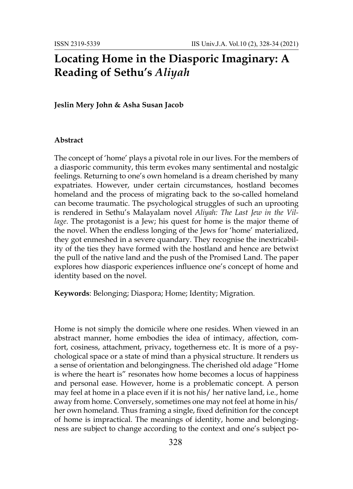## **Locating Home in the Diasporic Imaginary: A Reading of Sethu's** *Aliyah*

## **Jeslin Mery John & Asha Susan Jacob**

## **Abstract**

The concept of 'home' plays a pivotal role in our lives. For the members of a diasporic community, this term evokes many sentimental and nostalgic feelings. Returning to one's own homeland is a dream cherished by many expatriates. However, under certain circumstances, hostland becomes homeland and the process of migrating back to the so-called homeland can become traumatic. The psychological struggles of such an uprooting is rendered in Sethu's Malayalam novel *Aliyah: The Last Jew in the Village*. The protagonist is a Jew; his quest for home is the major theme of the novel. When the endless longing of the Jews for 'home' materialized, they got enmeshed in a severe quandary. They recognise the inextricability of the ties they have formed with the hostland and hence are betwixt the pull of the native land and the push of the Promised Land. The paper explores how diasporic experiences influence one's concept of home and identity based on the novel.

**Keywords**: Belonging; Diaspora; Home; Identity; Migration.

Home is not simply the domicile where one resides. When viewed in an abstract manner, home embodies the idea of intimacy, affection, comfort, cosiness, attachment, privacy, togetherness etc. It is more of a psychological space or a state of mind than a physical structure. It renders us a sense of orientation and belongingness. The cherished old adage "Home is where the heart is" resonates how home becomes a locus of happiness and personal ease. However, home is a problematic concept. A person may feel at home in a place even if it is not his/ her native land, i.e., home away from home. Conversely, sometimes one may not feel at home in his/ her own homeland. Thus framing a single, fixed definition for the concept of home is impractical. The meanings of identity, home and belongingness are subject to change according to the context and one's subject po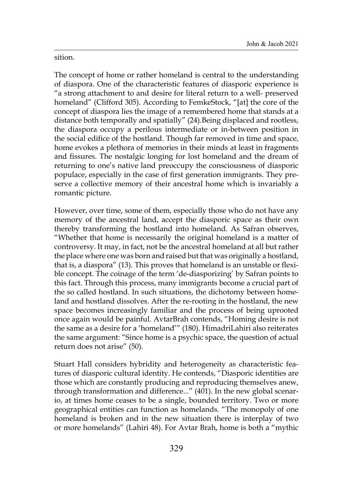sition.

The concept of home or rather homeland is central to the understanding of diaspora. One of the characteristic features of diasporic experience is "a strong attachment to and desire for literal return to a well- preserved homeland" (Clifford 305). According to FemkeStock, "[at] the core of the concept of diaspora lies the image of a remembered home that stands at a distance both temporally and spatially" (24).Being displaced and rootless, the diaspora occupy a perilous intermediate or in-between position in the social edifice of the hostland. Though far removed in time and space, home evokes a plethora of memories in their minds at least in fragments and fissures. The nostalgic longing for lost homeland and the dream of returning to one's native land preoccupy the consciousness of diasporic populace, especially in the case of first generation immigrants. They preserve a collective memory of their ancestral home which is invariably a romantic picture.

However, over time, some of them, especially those who do not have any memory of the ancestral land, accept the diasporic space as their own thereby transforming the hostland into homeland. As Safran observes, "Whether that home is necessarily the original homeland is a matter of controversy. It may, in fact, not be the ancestral homeland at all but rather the place where one was born and raised but that was originally a hostland, that is, a diaspora" (13). This proves that homeland is an unstable or flexible concept. The coinage of the term 'de-diasporizing' by Safran points to this fact. Through this process, many immigrants become a crucial part of the so called hostland. In such situations, the dichotomy between homeland and hostland dissolves. After the re-rooting in the hostland, the new space becomes increasingly familiar and the process of being uprooted once again would be painful. AvtarBrah contends, "Homing desire is not the same as a desire for a 'homeland'" (180). HimadriLahiri also reiterates the same argument: "Since home is a psychic space, the question of actual return does not arise" (50).

Stuart Hall considers hybridity and heterogeneity as characteristic features of diasporic cultural identity. He contends, "Diasporic identities are those which are constantly producing and reproducing themselves anew, through transformation and difference..." (401). In the new global scenario, at times home ceases to be a single, bounded territory. Two or more geographical entities can function as homelands. "The monopoly of one homeland is broken and in the new situation there is interplay of two or more homelands" (Lahiri 48). For Avtar Brah, home is both a "mythic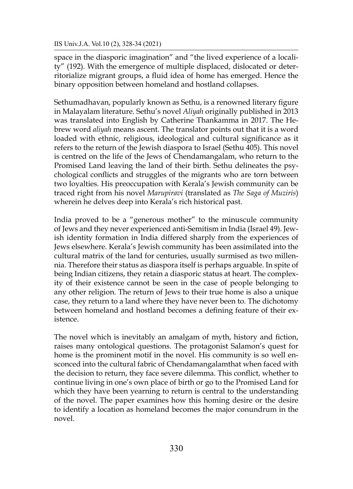space in the diasporic imagination" and "the lived experience of a locality" (192). With the emergence of multiple displaced, dislocated or deterritorialize migrant groups, a fluid idea of home has emerged. Hence the binary opposition between homeland and hostland collapses.

Sethumadhavan, popularly known as Sethu, is a renowned literary figure in Malayalam literature. Sethu's novel *Aliyah* originally published in 2013 was translated into English by Catherine Thankamma in 2017. The Hebrew word *aliyah* means ascent. The translator points out that it is a word loaded with ethnic, religious, ideological and cultural significance as it refers to the return of the Jewish diaspora to Israel (Sethu 405). This novel is centred on the life of the Jews of Chendamangalam, who return to the Promised Land leaving the land of their birth. Sethu delineates the psychological conflicts and struggles of the migrants who are torn between two loyalties. His preoccupation with Kerala's Jewish community can be traced right from his novel *Marupiravi* (translated as *The Saga of Muziris*) wherein he delves deep into Kerala's rich historical past.

India proved to be a "generous mother" to the minuscule community of Jews and they never experienced anti-Semitism in India (Israel 49). Jewish identity formation in India differed sharply from the experiences of Jews elsewhere. Kerala's Jewish community has been assimilated into the cultural matrix of the land for centuries, usually surmised as two millennia. Therefore their status as diaspora itself is perhaps arguable. In spite of being Indian citizens, they retain a diasporic status at heart. The complexity of their existence cannot be seen in the case of people belonging to any other religion. The return of Jews to their true home is also a unique case, they return to a land where they have never been to. The dichotomy between homeland and hostland becomes a defining feature of their existence.

The novel which is inevitably an amalgam of myth, history and fiction, raises many ontological questions. The protagonist Salamon's quest for home is the prominent motif in the novel. His community is so well ensconced into the cultural fabric of Chendamangalamthat when faced with the decision to return, they face severe dilemma. This conflict, whether to continue living in one's own place of birth or go to the Promised Land for which they have been yearning to return is central to the understanding of the novel. The paper examines how this homing desire or the desire to identify a location as homeland becomes the major conundrum in the novel.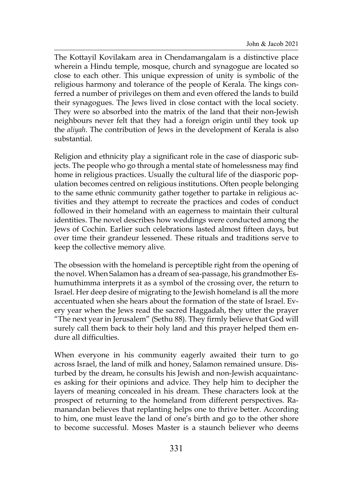The Kottayil Kovilakam area in Chendamangalam is a distinctive place wherein a Hindu temple, mosque, church and synagogue are located so close to each other. This unique expression of unity is symbolic of the religious harmony and tolerance of the people of Kerala. The kings conferred a number of privileges on them and even offered the lands to build their synagogues. The Jews lived in close contact with the local society. They were so absorbed into the matrix of the land that their non-Jewish neighbours never felt that they had a foreign origin until they took up the *aliyah*. The contribution of Jews in the development of Kerala is also substantial.

Religion and ethnicity play a significant role in the case of diasporic subjects. The people who go through a mental state of homelessness may find home in religious practices. Usually the cultural life of the diasporic population becomes centred on religious institutions. Often people belonging to the same ethnic community gather together to partake in religious activities and they attempt to recreate the practices and codes of conduct followed in their homeland with an eagerness to maintain their cultural identities. The novel describes how weddings were conducted among the Jews of Cochin. Earlier such celebrations lasted almost fifteen days, but over time their grandeur lessened. These rituals and traditions serve to keep the collective memory alive.

The obsession with the homeland is perceptible right from the opening of the novel. When Salamon has a dream of sea-passage, his grandmother Eshumuthimma interprets it as a symbol of the crossing over, the return to Israel. Her deep desire of migrating to the Jewish homeland is all the more accentuated when she hears about the formation of the state of Israel. Every year when the Jews read the sacred Haggadah, they utter the prayer "The next year in Jerusalem" (Sethu 88). They firmly believe that God will surely call them back to their holy land and this prayer helped them endure all difficulties.

When everyone in his community eagerly awaited their turn to go across Israel, the land of milk and honey, Salamon remained unsure. Disturbed by the dream, he consults his Jewish and non-Jewish acquaintances asking for their opinions and advice. They help him to decipher the layers of meaning concealed in his dream. These characters look at the prospect of returning to the homeland from different perspectives. Ramanandan believes that replanting helps one to thrive better. According to him, one must leave the land of one's birth and go to the other shore to become successful. Moses Master is a staunch believer who deems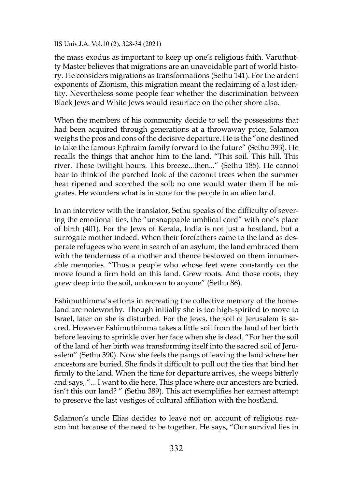the mass exodus as important to keep up one's religious faith. Varuthutty Master believes that migrations are an unavoidable part of world history. He considers migrations as transformations (Sethu 141). For the ardent exponents of Zionism, this migration meant the reclaiming of a lost identity. Nevertheless some people fear whether the discrimination between Black Jews and White Jews would resurface on the other shore also.

When the members of his community decide to sell the possessions that had been acquired through generations at a throwaway price, Salamon weighs the pros and cons of the decisive departure. He is the "one destined to take the famous Ephraim family forward to the future" (Sethu 393). He recalls the things that anchor him to the land. "This soil. This hill. This river. These twilight hours. This breeze...then..." (Sethu 185). He cannot bear to think of the parched look of the coconut trees when the summer heat ripened and scorched the soil; no one would water them if he migrates. He wonders what is in store for the people in an alien land.

In an interview with the translator, Sethu speaks of the difficulty of severing the emotional ties, the "unsnappable umblical cord" with one's place of birth (401). For the Jews of Kerala, India is not just a hostland, but a surrogate mother indeed. When their forefathers came to the land as desperate refugees who were in search of an asylum, the land embraced them with the tenderness of a mother and thence bestowed on them innumerable memories. "Thus a people who whose feet were constantly on the move found a firm hold on this land. Grew roots. And those roots, they grew deep into the soil, unknown to anyone" (Sethu 86).

Eshimuthimma's efforts in recreating the collective memory of the homeland are noteworthy. Though initially she is too high-spirited to move to Israel, later on she is disturbed. For the Jews, the soil of Jerusalem is sacred. However Eshimuthimma takes a little soil from the land of her birth before leaving to sprinkle over her face when she is dead. "For her the soil of the land of her birth was transforming itself into the sacred soil of Jerusalem" (Sethu 390). Now she feels the pangs of leaving the land where her ancestors are buried. She finds it difficult to pull out the ties that bind her firmly to the land. When the time for departure arrives, she weeps bitterly and says, "... I want to die here. This place where our ancestors are buried, isn't this our land? " (Sethu 389). This act exemplifies her earnest attempt to preserve the last vestiges of cultural affiliation with the hostland.

Salamon's uncle Elias decides to leave not on account of religious reason but because of the need to be together. He says, "Our survival lies in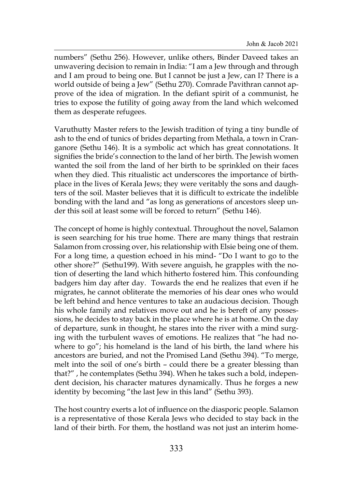numbers" (Sethu 256). However, unlike others, Binder Daveed takes an unwavering decision to remain in India: "I am a Jew through and through and I am proud to being one. But I cannot be just a Jew, can I? There is a world outside of being a Jew" (Sethu 270). Comrade Pavithran cannot approve of the idea of migration. In the defiant spirit of a communist, he tries to expose the futility of going away from the land which welcomed them as desperate refugees.

Varuthutty Master refers to the Jewish tradition of tying a tiny bundle of ash to the end of tunics of brides departing from Methala, a town in Cranganore (Sethu 146). It is a symbolic act which has great connotations. It signifies the bride's connection to the land of her birth. The Jewish women wanted the soil from the land of her birth to be sprinkled on their faces when they died. This ritualistic act underscores the importance of birthplace in the lives of Kerala Jews; they were veritably the sons and daughters of the soil. Master believes that it is difficult to extricate the indelible bonding with the land and "as long as generations of ancestors sleep under this soil at least some will be forced to return" (Sethu 146).

The concept of home is highly contextual. Throughout the novel, Salamon is seen searching for his true home. There are many things that restrain Salamon from crossing over, his relationship with Elsie being one of them. For a long time, a question echoed in his mind- "Do I want to go to the other shore?" (Sethu199). With severe anguish, he grapples with the notion of deserting the land which hitherto fostered him. This confounding badgers him day after day. Towards the end he realizes that even if he migrates, he cannot obliterate the memories of his dear ones who would be left behind and hence ventures to take an audacious decision. Though his whole family and relatives move out and he is bereft of any possessions, he decides to stay back in the place where he is at home. On the day of departure, sunk in thought, he stares into the river with a mind surging with the turbulent waves of emotions. He realizes that "he had nowhere to go"; his homeland is the land of his birth, the land where his ancestors are buried, and not the Promised Land (Sethu 394). "To merge, melt into the soil of one's birth – could there be a greater blessing than that?" , he contemplates (Sethu 394). When he takes such a bold, independent decision, his character matures dynamically. Thus he forges a new identity by becoming "the last Jew in this land" (Sethu 393).

The host country exerts a lot of influence on the diasporic people. Salamon is a representative of those Kerala Jews who decided to stay back in the land of their birth. For them, the hostland was not just an interim home